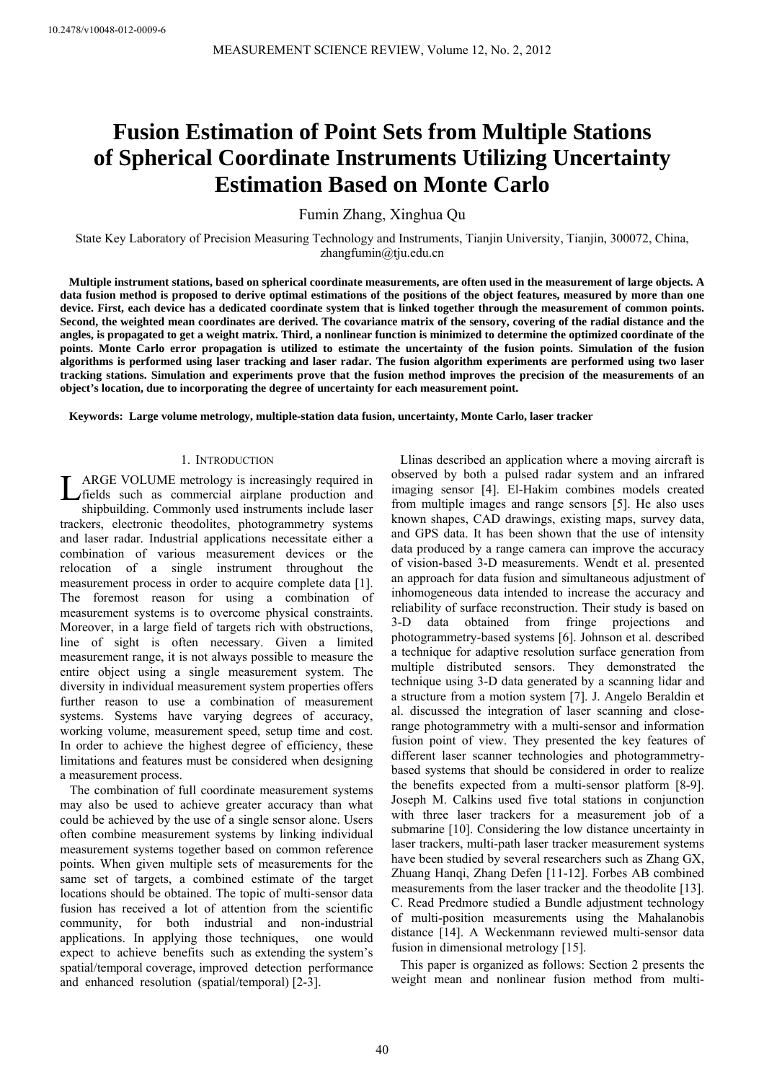# **Fusion Estimation of Point Sets from Multiple Stations of Spherical Coordinate Instruments Utilizing Uncertainty Estimation Based on Monte Carlo**

Fumin Zhang, Xinghua Qu

State Key Laboratory of Precision Measuring Technology and Instruments, Tianjin University, Tianjin, 300072, China, zhangfumin@tju.edu.cn

**Multiple instrument stations, based on spherical coordinate measurements, are often used in the measurement of large objects. A data fusion method is proposed to derive optimal estimations of the positions of the object features, measured by more than one device. First, each device has a dedicated coordinate system that is linked together through the measurement of common points. Second, the weighted mean coordinates are derived. The covariance matrix of the sensory, covering of the radial distance and the angles, is propagated to get a weight matrix. Third, a nonlinear function is minimized to determine the optimized coordinate of the points. Monte Carlo error propagation is utilized to estimate the uncertainty of the fusion points. Simulation of the fusion algorithms is performed using laser tracking and laser radar. The fusion algorithm experiments are performed using two laser tracking stations. Simulation and experiments prove that the fusion method improves the precision of the measurements of an object's location, due to incorporating the degree of uncertainty for each measurement point.** 

**Keywords: Large volume metrology, multiple-station data fusion, uncertainty, Monte Carlo, laser tracker** 

## 1. INTRODUCTION

ARGE VOLUME metrology is increasingly required in **IMAGE VOLUME metrology is increasingly required in** fields such as commercial airplane production and shipbuilding. Commonly used instruments include laser trackers, electronic theodolites, photogrammetry systems and laser radar. Industrial applications necessitate either a combination of various measurement devices or the relocation of a single instrument throughout the measurement process in order to acquire complete data [1]. The foremost reason for using a combination of measurement systems is to overcome physical constraints. Moreover, in a large field of targets rich with obstructions, line of sight is often necessary. Given a limited measurement range, it is not always possible to measure the entire object using a single measurement system. The diversity in individual measurement system properties offers further reason to use a combination of measurement systems. Systems have varying degrees of accuracy, working volume, measurement speed, setup time and cost. In order to achieve the highest degree of efficiency, these limitations and features must be considered when designing a measurement process.

 The combination of full coordinate measurement systems may also be used to achieve greater accuracy than what could be achieved by the use of a single sensor alone. Users often combine measurement systems by linking individual measurement systems together based on common reference points. When given multiple sets of measurements for the same set of targets, a combined estimate of the target locations should be obtained. The topic of multi-sensor data fusion has received a lot of attention from the scientific community, for both industrial and non-industrial applications. In applying those techniques, one would expect to achieve benefits such as extending the system's spatial/temporal coverage, improved detection performance and enhanced resolution (spatial/temporal) [2-3].

Llinas described an application where a moving aircraft is observed by both a pulsed radar system and an infrared imaging sensor [4]. El-Hakim combines models created from multiple images and range sensors [5]. He also uses known shapes, CAD drawings, existing maps, survey data, and GPS data. It has been shown that the use of intensity data produced by a range camera can improve the accuracy of vision-based 3-D measurements. Wendt et al. presented an approach for data fusion and simultaneous adjustment of inhomogeneous data intended to increase the accuracy and reliability of surface reconstruction. Their study is based on 3-D data obtained from fringe projections and photogrammetry-based systems [6]. Johnson et al. described a technique for adaptive resolution surface generation from multiple distributed sensors. They demonstrated the technique using 3-D data generated by a scanning lidar and a structure from a motion system [7]. J. Angelo Beraldin et al. discussed the integration of laser scanning and closerange photogrammetry with a multi-sensor and information fusion point of view. They presented the key features of different laser scanner technologies and photogrammetrybased systems that should be considered in order to realize the benefits expected from a multi-sensor platform [8-9]. Joseph M. Calkins used five total stations in conjunction with three laser trackers for a measurement job of a submarine [10]. Considering the low distance uncertainty in laser trackers, multi-path laser tracker measurement systems have been studied by several researchers such as Zhang GX, Zhuang Hanqi, Zhang Defen [11-12]. Forbes AB combined measurements from the laser tracker and the theodolite [13]. C. Read Predmore studied a Bundle adjustment technology of multi-position measurements using the Mahalanobis distance [14]. A Weckenmann reviewed multi-sensor data fusion in dimensional metrology [15].

This paper is organized as follows: Section 2 presents the weight mean and nonlinear fusion method from multi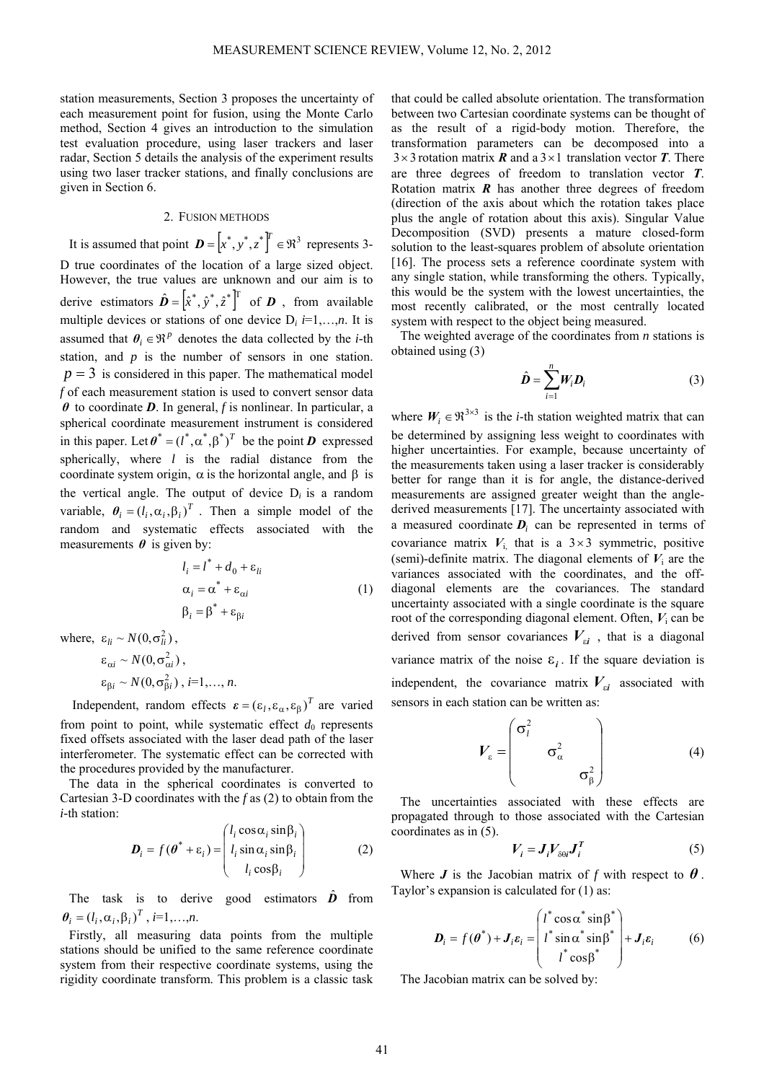station measurements, Section 3 proposes the uncertainty of each measurement point for fusion, using the Monte Carlo method, Section 4 gives an introduction to the simulation test evaluation procedure, using laser trackers and laser radar, Section 5 details the analysis of the experiment results using two laser tracker stations, and finally conclusions are given in Section 6.

## 2. FUSION METHODS

It is assumed that point  $\boldsymbol{D} = \begin{bmatrix} x^*, y^*, z^* \end{bmatrix}^T \in \mathbb{R}^3$  represents 3-D true coordinates of the location of a large sized object. However, the true values are unknown and our aim is to derive estimators  $\hat{\boldsymbol{D}} = [\hat{x}^*, \hat{y}^*, \hat{z}^*]^T$  of  $\boldsymbol{D}$ , from available multiple devices or stations of one device  $D_i$  *i*=1,…,*n*. It is assumed that  $\theta_i \in \mathbb{R}^p$  denotes the data collected by the *i*-th station, and *p* is the number of sensors in one station.  $p = 3$  is considered in this paper. The mathematical model *f* of each measurement station is used to convert sensor data *θ* to coordinate *D*. In general, *f* is nonlinear. In particular, a spherical coordinate measurement instrument is considered in this paper. Let  $\boldsymbol{\theta}^* = (l^*, \alpha^*, \beta^*)^T$  be the point *D* expressed spherically, where *l* is the radial distance from the coordinate system origin,  $\alpha$  is the horizontal angle, and  $\beta$  is the vertical angle. The output of device  $D_i$  is a random variable,  $\theta_i = (l_i, \alpha_i, \beta_i)^T$ . Then a simple model of the random and systematic effects associated with the measurements  $\theta$  is given by:

$$
l_i = l^* + d_0 + \varepsilon_{li}
$$
  
\n
$$
\alpha_i = \alpha^* + \varepsilon_{\alpha i}
$$
  
\n
$$
\beta_i = \beta^* + \varepsilon_{\beta i}
$$
\n(1)

where,  $\varepsilon_{li} \sim N(0, \sigma_{li}^2)$ ,

$$
\varepsilon_{\alpha i} \sim N(0, \sigma_{\alpha i}^2),
$$
  
\n
$$
\varepsilon_{\beta i} \sim N(0, \sigma_{\beta i}^2), i=1,...,n.
$$

Independent, random effects  $\boldsymbol{\varepsilon} = (\varepsilon_l, \varepsilon_\alpha, \varepsilon_\beta)^T$  are varied from point to point, while systematic effect  $d_0$  represents fixed offsets associated with the laser dead path of the laser interferometer. The systematic effect can be corrected with the procedures provided by the manufacturer.

The data in the spherical coordinates is converted to Cartesian 3-D coordinates with the *f* as (2) to obtain from the *i-*th station:

$$
\boldsymbol{D}_i = f(\boldsymbol{\theta}^* + \varepsilon_i) = \begin{pmatrix} l_i \cos \alpha_i \sin \beta_i \\ l_i \sin \alpha_i \sin \beta_i \\ l_i \cos \beta_i \end{pmatrix}
$$
 (2)

The task is to derive good estimators  $\hat{\boldsymbol{D}}$  from  $\theta_i = (l_i, \alpha_i, \beta_i)^T$ , *i*=1,…,*n*.

Firstly, all measuring data points from the multiple stations should be unified to the same reference coordinate system from their respective coordinate systems, using the rigidity coordinate transform. This problem is a classic task

that could be called absolute orientation. The transformation between two Cartesian coordinate systems can be thought of as the result of a rigid-body motion. Therefore, the transformation parameters can be decomposed into a  $3 \times 3$  rotation matrix *R* and a  $3 \times 1$  translation vector *T*. There are three degrees of freedom to translation vector *T*. Rotation matrix *R* has another three degrees of freedom (direction of the axis about which the rotation takes place plus the angle of rotation about this axis). Singular Value Decomposition (SVD) presents a mature closed-form solution to the least-squares problem of absolute orientation [16]. The process sets a reference coordinate system with any single station, while transforming the others. Typically, this would be the system with the lowest uncertainties, the most recently calibrated, or the most centrally located system with respect to the object being measured.

The weighted average of the coordinates from *n* stations is obtained using (3)

$$
\hat{\boldsymbol{D}} = \sum_{i=1}^{n} \boldsymbol{W}_i \boldsymbol{D}_i
$$
 (3)

where  $W_i \in \mathbb{R}^{3 \times 3}$  is the *i*-th station weighted matrix that can be determined by assigning less weight to coordinates with higher uncertainties. For example, because uncertainty of the measurements taken using a laser tracker is considerably better for range than it is for angle, the distance-derived measurements are assigned greater weight than the anglederived measurements [17]. The uncertainty associated with a measured coordinate  $D_i$  can be represented in terms of covariance matrix  $V_i$  that is a  $3 \times 3$  symmetric, positive (semi)-definite matrix. The diagonal elements of  $V_i$  are the variances associated with the coordinates, and the offdiagonal elements are the covariances. The standard uncertainty associated with a single coordinate is the square root of the corresponding diagonal element. Often, *V*i can be derived from sensor covariances  $V_{\rm si}$ , that is a diagonal variance matrix of the noise  $\varepsilon_i$ . If the square deviation is independent, the covariance matrix  $V_{si}$  associated with sensors in each station can be written as:

$$
V_{\varepsilon} = \begin{pmatrix} \sigma_l^2 & & \\ & \sigma_\alpha^2 & \\ & & \sigma_\beta^2 \end{pmatrix} \tag{4}
$$

The uncertainties associated with these effects are propagated through to those associated with the Cartesian coordinates as in (5).

$$
V_i = J_i V_{\delta \theta i} J_i^T \tag{5}
$$

Where  $J$  is the Jacobian matrix of  $f$  with respect to  $\theta$ . Taylor's expansion is calculated for (1) as:

$$
\boldsymbol{D}_{i} = f(\boldsymbol{\theta}^{*}) + \boldsymbol{J}_{i}\boldsymbol{\varepsilon}_{i} = \begin{pmatrix} l^{*} \cos \alpha^{*} \sin \beta^{*} \\ l^{*} \sin \alpha^{*} \sin \beta^{*} \\ l^{*} \cos \beta^{*} \end{pmatrix} + \boldsymbol{J}_{i}\boldsymbol{\varepsilon}_{i} \qquad (6)
$$

The Jacobian matrix can be solved by: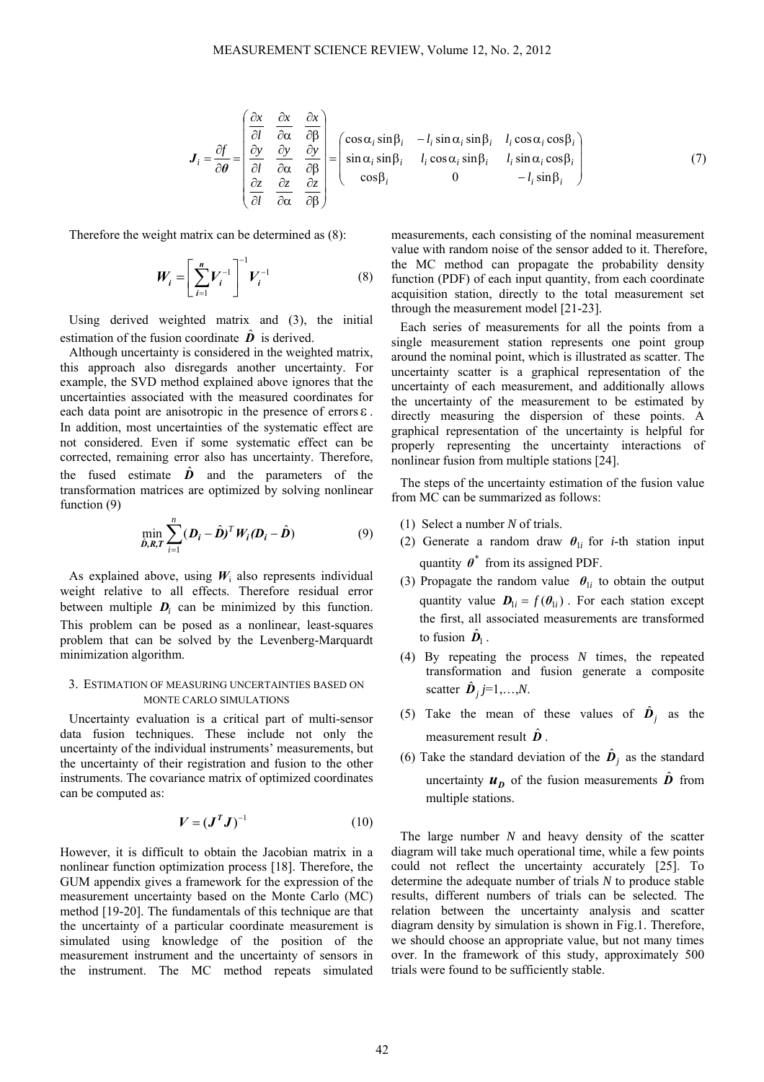$$
\boldsymbol{J}_{i} = \frac{\partial f}{\partial \theta} = \begin{bmatrix} \frac{\partial x}{\partial l} & \frac{\partial x}{\partial \alpha} & \frac{\partial x}{\partial \beta} \\ \frac{\partial y}{\partial l} & \frac{\partial y}{\partial \alpha} & \frac{\partial y}{\partial \beta} \\ \frac{\partial z}{\partial l} & \frac{\partial z}{\partial \alpha} & \frac{\partial z}{\partial \beta} \end{bmatrix} = \begin{bmatrix} \cos \alpha_{i} \sin \beta_{i} & -l_{i} \sin \alpha_{i} \sin \beta_{i} & l_{i} \cos \alpha_{i} \cos \beta_{i} \\ \sin \alpha_{i} \sin \beta_{i} & l_{i} \cos \alpha_{i} \sin \beta_{i} & l_{i} \sin \alpha_{i} \cos \beta_{i} \\ \cos \beta_{i} & 0 & -l_{i} \sin \beta_{i} \end{bmatrix}
$$
(7)

Therefore the weight matrix can be determined as (8):

$$
W_i = \left[\sum_{i=1}^n V_i^{-1}\right]^{-1} V_i^{-1}
$$
 (8)

Using derived weighted matrix and (3), the initial estimation of the fusion coordinate  $\hat{\boldsymbol{D}}$  is derived.

Although uncertainty is considered in the weighted matrix, this approach also disregards another uncertainty. For example, the SVD method explained above ignores that the uncertainties associated with the measured coordinates for each data point are anisotropic in the presence of errors ε . In addition, most uncertainties of the systematic effect are not considered. Even if some systematic effect can be corrected, remaining error also has uncertainty. Therefore, the fused estimate  $\hat{\boldsymbol{D}}$  and the parameters of the transformation matrices are optimized by solving nonlinear function (9)

$$
\min_{\hat{\mathbf{D}}, \mathbf{R}, \mathbf{T}} \sum_{i=1}^{n} (\mathbf{D}_i - \hat{\mathbf{D}})^T W_i (\mathbf{D}_i - \hat{\mathbf{D}})
$$
(9)

As explained above, using  $W_i$  also represents individual weight relative to all effects. Therefore residual error between multiple  $D_i$  can be minimized by this function. This problem can be posed as a nonlinear, least-squares problem that can be solved by the Levenberg-Marquardt minimization algorithm.

## 3. ESTIMATION OF MEASURING UNCERTAINTIES BASED ON MONTE CARLO SIMULATIONS

Uncertainty evaluation is a critical part of multi-sensor data fusion techniques. These include not only the uncertainty of the individual instruments' measurements, but the uncertainty of their registration and fusion to the other instruments. The covariance matrix of optimized coordinates can be computed as:

$$
V = (J^T J)^{-1}
$$
 (10)

However, it is difficult to obtain the Jacobian matrix in a nonlinear function optimization process [18]. Therefore, the GUM appendix gives a framework for the expression of the measurement uncertainty based on the Monte Carlo (MC) method [19-20]. The fundamentals of this technique are that the uncertainty of a particular coordinate measurement is simulated using knowledge of the position of the measurement instrument and the uncertainty of sensors in the instrument. The MC method repeats simulated measurements, each consisting of the nominal measurement value with random noise of the sensor added to it. Therefore, the MC method can propagate the probability density function (PDF) of each input quantity, from each coordinate acquisition station, directly to the total measurement set through the measurement model [21-23].

Each series of measurements for all the points from a single measurement station represents one point group around the nominal point, which is illustrated as scatter. The uncertainty scatter is a graphical representation of the uncertainty of each measurement, and additionally allows the uncertainty of the measurement to be estimated by directly measuring the dispersion of these points. A graphical representation of the uncertainty is helpful for properly representing the uncertainty interactions of nonlinear fusion from multiple stations [24].

The steps of the uncertainty estimation of the fusion value from MC can be summarized as follows:

- (1) Select a number *N* of trials.
- (2) Generate a random draw  $\theta_{1i}$  for *i*-th station input quantity  $\boldsymbol{\theta}^*$  from its assigned PDF.
- (3) Propagate the random value  $\theta_{1i}$  to obtain the output quantity value  $\mathbf{D}_{1i} = f(\theta_{1i})$ . For each station except the first, all associated measurements are transformed to fusion  $\mathbf{D}_1$ .
- (4) By repeating the process *N* times, the repeated transformation and fusion generate a composite scatter  $\vec{\bm{D}}_j = 1, \ldots, N$ .
- (5) Take the mean of these values of  $\hat{\boldsymbol{D}}_i$  as the measurement result  $\hat{\boldsymbol{D}}$ .
- (6) Take the standard deviation of the  $\hat{\boldsymbol{D}}_i$  as the standard uncertainty  $u<sub>p</sub>$  of the fusion measurements  $\hat{D}$  from multiple stations.

The large number *N* and heavy density of the scatter diagram will take much operational time, while a few points could not reflect the uncertainty accurately [25]. To determine the adequate number of trials *N* to produce stable results, different numbers of trials can be selected. The relation between the uncertainty analysis and scatter diagram density by simulation is shown in Fig.1. Therefore, we should choose an appropriate value, but not many times over. In the framework of this study, approximately 500 trials were found to be sufficiently stable.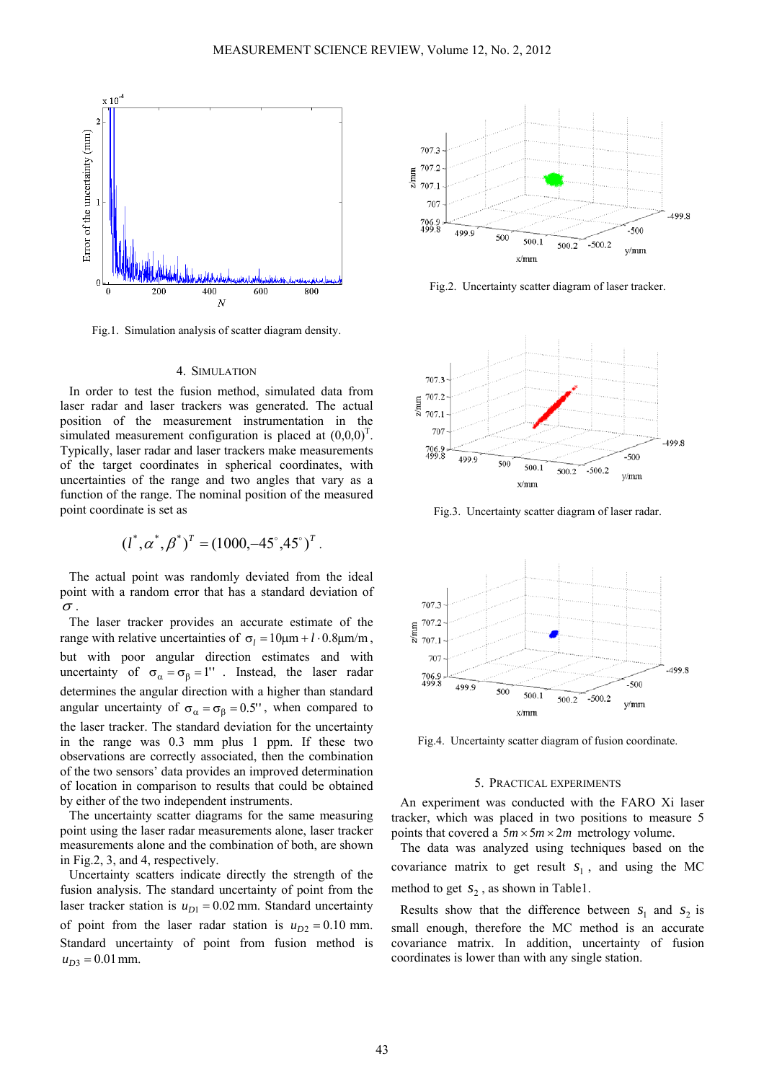

Fig.1. Simulation analysis of scatter diagram density.

## 4. SIMULATION

In order to test the fusion method, simulated data from laser radar and laser trackers was generated. The actual position of the measurement instrumentation in the simulated measurement configuration is placed at  $(0,0,0)^T$ . Typically, laser radar and laser trackers make measurements of the target coordinates in spherical coordinates, with uncertainties of the range and two angles that vary as a function of the range. The nominal position of the measured point coordinate is set as

$$
(l^*, \alpha^*, \beta^*)^T = (1000, -45^\circ, 45^\circ)^T
$$
.

The actual point was randomly deviated from the ideal point with a random error that has a standard deviation of  $\sigma$  .

The laser tracker provides an accurate estimate of the range with relative uncertainties of  $σ<sub>l</sub> = 10μm + l · 0.8μm/m$ , but with poor angular direction estimates and with uncertainty of  $\sigma_{\alpha} = \sigma_{\beta} = 1'$ . Instead, the laser radar determines the angular direction with a higher than standard angular uncertainty of  $\sigma_{\alpha} = \sigma_{\beta} = 0.5'$ , when compared to the laser tracker. The standard deviation for the uncertainty in the range was 0.3 mm plus 1 ppm. If these two observations are correctly associated, then the combination of the two sensors' data provides an improved determination of location in comparison to results that could be obtained by either of the two independent instruments.

The uncertainty scatter diagrams for the same measuring point using the laser radar measurements alone, laser tracker measurements alone and the combination of both, are shown in Fig.2, 3, and 4, respectively.

Uncertainty scatters indicate directly the strength of the fusion analysis. The standard uncertainty of point from the laser tracker station is  $u_{D1} = 0.02$  mm. Standard uncertainty of point from the laser radar station is  $u_{D2} = 0.10$  mm. Standard uncertainty of point from fusion method is  $u_{D3} = 0.01$  mm.



Fig.2. Uncertainty scatter diagram of laser tracker.



Fig.3. Uncertainty scatter diagram of laser radar.



Fig.4. Uncertainty scatter diagram of fusion coordinate.

## 5. PRACTICAL EXPERIMENTS

An experiment was conducted with the FARO Xi laser tracker, which was placed in two positions to measure 5 points that covered a  $5m \times 5m \times 2m$  metrology volume.

The data was analyzed using techniques based on the covariance matrix to get result  $s_1$ , and using the MC method to get  $s_2$ , as shown in Table1.

Results show that the difference between  $s_1$  and  $s_2$  is small enough, therefore the MC method is an accurate covariance matrix. In addition, uncertainty of fusion coordinates is lower than with any single station.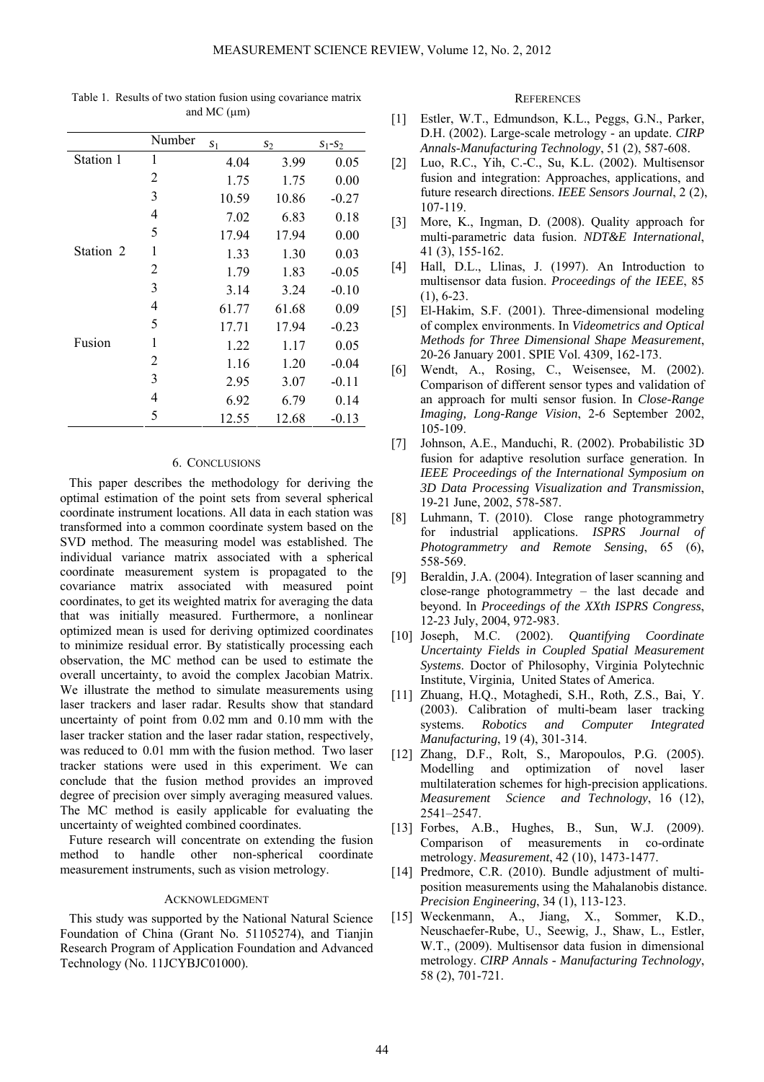|           | Number | s <sub>1</sub> | s <sub>2</sub> | $S_1-S_2$ |
|-----------|--------|----------------|----------------|-----------|
| Station 1 | 1      | 4.04           | 3.99           | 0.05      |
|           | 2      | 1.75           | 1.75           | 0.00      |
|           | 3      | 10.59          | 10.86          | $-0.27$   |
|           | 4      | 7.02           | 6.83           | 0.18      |
|           | 5      | 17.94          | 17.94          | 0.00      |
| Station 2 | 1      | 1.33           | 1.30           | 0.03      |
|           | 2      | 1.79           | 1.83           | $-0.05$   |
|           | 3      | 3.14           | 3.24           | $-0.10$   |
|           | 4      | 61.77          | 61.68          | 0.09      |
|           | 5      | 17.71          | 17.94          | $-0.23$   |
| Fusion    | 1      | 1.22           | 1.17           | 0.05      |
|           | 2      | 1.16           | 1.20           | $-0.04$   |
|           | 3      | 2.95           | 3.07           | $-0.11$   |
|           | 4      | 6.92           | 6.79           | 0.14      |
|           | 5      | 12.55          | 12.68          | $-0.13$   |

Table 1. Results of two station fusion using covariance matrix and MC (μm)

### 6. CONCLUSIONS

This paper describes the methodology for deriving the optimal estimation of the point sets from several spherical coordinate instrument locations. All data in each station was transformed into a common coordinate system based on the SVD method. The measuring model was established. The individual variance matrix associated with a spherical coordinate measurement system is propagated to the covariance matrix associated with measured point coordinates, to get its weighted matrix for averaging the data that was initially measured. Furthermore, a nonlinear optimized mean is used for deriving optimized coordinates to minimize residual error. By statistically processing each observation, the MC method can be used to estimate the overall uncertainty, to avoid the complex Jacobian Matrix. We illustrate the method to simulate measurements using laser trackers and laser radar. Results show that standard uncertainty of point from 0.02 mm and 0.10 mm with the laser tracker station and the laser radar station, respectively, was reduced to 0.01 mm with the fusion method. Two laser tracker stations were used in this experiment. We can conclude that the fusion method provides an improved degree of precision over simply averaging measured values. The MC method is easily applicable for evaluating the uncertainty of weighted combined coordinates.

Future research will concentrate on extending the fusion method to handle other non-spherical coordinate measurement instruments, such as vision metrology.

## ACKNOWLEDGMENT

This study was supported by the National Natural Science Foundation of China (Grant No. 51105274), and Tianjin Research Program of Application Foundation and Advanced Technology (No. 11JCYBJC01000).

#### **REFERENCES**

- [1] Estler, W.T., Edmundson, K.L., Peggs, G.N., Parker, D.H. (2002). Large-scale metrology - an update. *CIRP Annals-Manufacturing Technology*, 51 (2), 587-608.
- [2] Luo, R.C., Yih, C.-C., Su, K.L. (2002). Multisensor fusion and integration: Approaches, applications, and future research directions. *IEEE Sensors Journal*, 2 (2), 107-119.
- [3] More, K., Ingman, D. (2008). Quality approach for multi-parametric data fusion. *NDT&E International*, 41 (3), 155-162.
- [4] Hall, D.L., Llinas, J. (1997). An Introduction to multisensor data fusion. *Proceedings of the IEEE*, 85 (1), 6-23.
- [5] El-Hakim, S.F. (2001). Three-dimensional modeling of complex environments. In *Videometrics and Optical Methods for Three Dimensional Shape Measurement*, 20-26 January 2001. SPIE Vol. 4309, 162-173.
- [6] Wendt, A., Rosing, C., Weisensee, M. (2002). Comparison of different sensor types and validation of an approach for multi sensor fusion. In *Close-Range Imaging, Long-Range Vision*, 2-6 September 2002, 105-109.
- [7] Johnson, A.E., Manduchi, R. (2002). Probabilistic 3D fusion for adaptive resolution surface generation. In *IEEE Proceedings of the International Symposium on 3D Data Processing Visualization and Transmission*, 19-21 June, 2002, 578-587.
- [8] Luhmann, T. (2010). Close range photogrammetry for industrial applications. *ISPRS Journal of Photogrammetry and Remote Sensing*, 65 (6), 558-569.
- [9] Beraldin, J.A. (2004). Integration of laser scanning and close-range photogrammetry – the last decade and beyond. In *Proceedings of the XXth ISPRS Congress*, 12-23 July, 2004, 972-983.
- [10] Joseph, M.C. (2002). *Quantifying Coordinate Uncertainty Fields in Coupled Spatial Measurement Systems*. Doctor of Philosophy, Virginia Polytechnic Institute, Virginia*,* United States of America.
- [11] Zhuang, H.Q., Motaghedi, S.H., Roth, Z.S., Bai, Y. (2003). Calibration of multi-beam laser tracking systems. *Robotics and Computer Integrated Manufacturing*, 19 (4), 301-314.
- [12] Zhang, D.F., Rolt, S., Maropoulos, P.G. (2005). Modelling and optimization of novel laser multilateration schemes for high-precision applications. *Measurement Science and Technology*, 16 (12), 2541–2547.
- [13] Forbes, A.B., Hughes, B., Sun, W.J. (2009). Comparison of measurements in co-ordinate metrology. *Measurement*, 42 (10), 1473-1477.
- [14] Predmore, C.R. (2010). Bundle adjustment of multiposition measurements using the Mahalanobis distance. *Precision Engineering*, 34 (1), 113-123.
- [15] Weckenmann, A., Jiang, X., Sommer, K.D., Neuschaefer-Rube, U., Seewig, J., Shaw, L., Estler, W.T., (2009). Multisensor data fusion in dimensional metrology. *CIRP Annals - Manufacturing Technology*, 58 (2), 701-721.